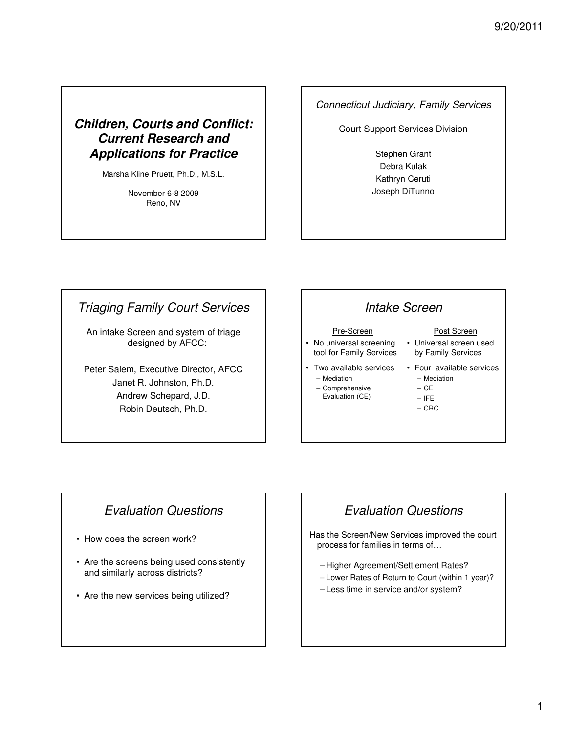# **Children, Courts and Conflict: Current Research and Applications for Practice**

Marsha Kline Pruett, Ph.D., M.S.L.

November 6-8 2009 Reno, NV

#### Connecticut Judiciary, Family Services

Court Support Services Division

Stephen Grant Debra Kulak Kathryn Ceruti Joseph DiTunno

# Triaging Family Court Services

An intake Screen and system of triage designed by AFCC:

Peter Salem, Executive Director, AFCC Janet R. Johnston, Ph.D. Andrew Schepard, J.D. Robin Deutsch, Ph.D.

# Intake Screen

#### Pre-Screen

• No universal screening tool for Family Services

#### Post Screen

- Universal screen used by Family Services
- Two available services – Mediation
	-
	- Comprehensive Evaluation (CE)
		-
- 
- Four available services – Mediation
	- CE
	- IFE
	- CRC

# Evaluation Questions

- How does the screen work?
- Are the screens being used consistently and similarly across districts?
- Are the new services being utilized?

# Evaluation Questions

Has the Screen/New Services improved the court process for families in terms of…

- Higher Agreement/Settlement Rates?
- Lower Rates of Return to Court (within 1 year)?
- Less time in service and/or system?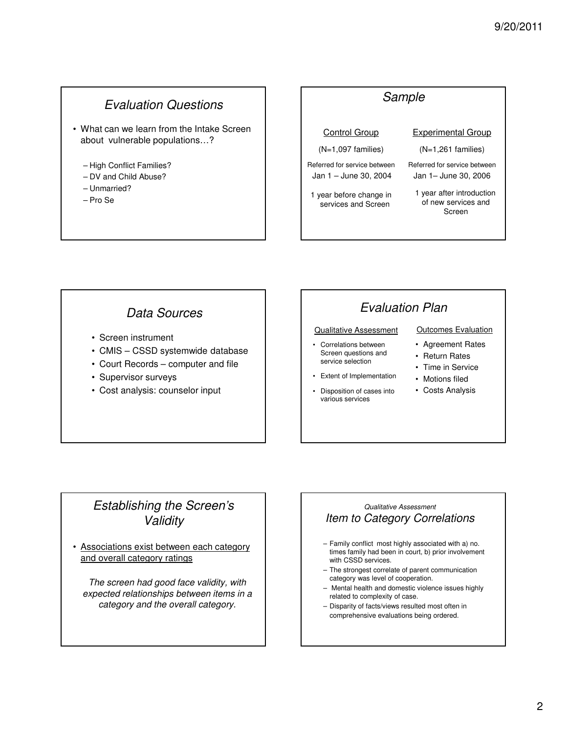# Evaluation Questions

- What can we learn from the Intake Screen about vulnerable populations…?
	- High Conflict Families?
	- DV and Child Abuse?
	- Unmarried?
	- Pro Se

#### Sample Control Group (N=1,097 families) Referred for service between Jan 1 – June 30, 2004 1 year before change in services and Screen Experimental Group (N=1,261 families) Referred for service between Jan 1– June 30, 2006 1 year after introduction of new services and Screen

# Data Sources

- Screen instrument
- CMIS CSSD systemwide database
- Court Records computer and file
- Supervisor surveys
- Cost analysis: counselor input

# Evaluation Plan

#### Qualitative Assessment

• Correlations between Screen questions and service selection

• Extent of Implementation • Disposition of cases into various services

• Agreement Rates

Outcomes Evaluation

- Return Rates
- Time in Service
- Motions filed
- Costs Analysis

## Establishing the Screen's Validity

• Associations exist between each category and overall category ratings

The screen had good face validity, with expected relationships between items in a category and the overall category.

#### Qualitative Assessment Item to Category Correlations

- Family conflict most highly associated with a) no. times family had been in court, b) prior involvement with CSSD services.
- The strongest correlate of parent communication category was level of cooperation.
- Mental health and domestic violence issues highly related to complexity of case.
- Disparity of facts/views resulted most often in comprehensive evaluations being ordered.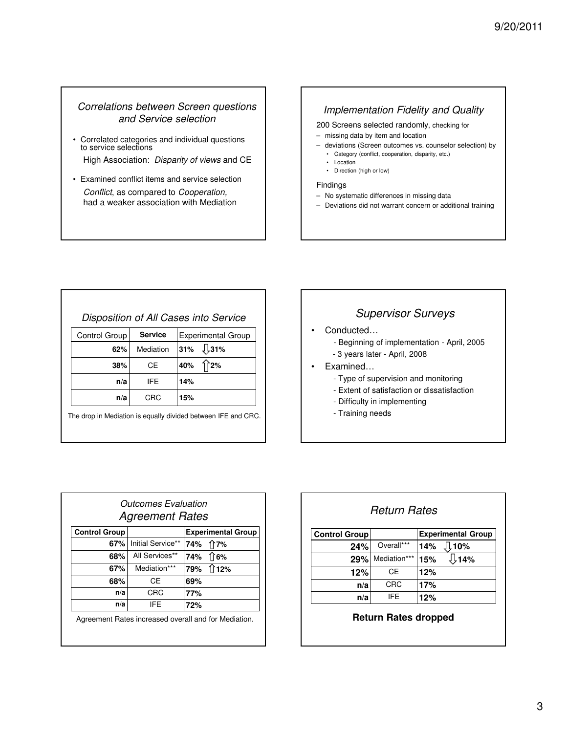#### Correlations between Screen questions and Service selection

- Correlated categories and individual questions to service selections High Association: Disparity of views and CE
- Examined conflict items and service selection Conflict, as compared to Cooperation, had a weaker association with Mediation

### Implementation Fidelity and Quality

200 Screens selected randomly, checking for

- missing data by item and location
- deviations (Screen outcomes vs. counselor selection) by
	- Category (conflict, cooperation, disparity, etc.)
	- Location • Direction (high or low)

#### Findings

- No systematic differences in missing data
- Deviations did not warrant concern or additional training

|               |                | Disposition of All Cases into Service |
|---------------|----------------|---------------------------------------|
| Control Group | <b>Service</b> | <b>Experimental Group</b>             |
|               |                |                                       |

| 62% | Mediation 31% $\downarrow$ 31% |     |     |
|-----|--------------------------------|-----|-----|
| 38% | CE                             | 40% | 12% |
| n/a | IFE.                           | 14% |     |
| n/a | <b>CRC</b>                     | 15% |     |

The drop in Mediation is equally divided between IFE and CRC.

### Supervisor Surveys

- Conducted…
	- Beginning of implementation April, 2005
	- 3 years later April, 2008
- Examined…
	- Type of supervision and monitoring
	- Extent of satisfaction or dissatisfaction
	- Difficulty in implementing
	- Training needs

| <b>Outcomes Evaluation</b><br><b>Agreement Rates</b> |                                                      |     |                           |
|------------------------------------------------------|------------------------------------------------------|-----|---------------------------|
| <b>Control Group</b>                                 |                                                      |     | <b>Experimental Group</b> |
| 67%                                                  | Initial Service**                                    | 74% | ਿ7%                       |
| 68%                                                  | All Services**                                       | 74% | 16%                       |
| 67%                                                  | Mediation***                                         |     | 79% 112%                  |
| 68%                                                  | СE                                                   | 69% |                           |
| n/a                                                  | CRC                                                  | 77% |                           |
| n/a                                                  | IFE                                                  | 72% |                           |
|                                                      | Agreement Rates increased overall and for Mediation. |     |                           |

| <b>Return Rates</b>  |              |                           |
|----------------------|--------------|---------------------------|
| <b>Control Group</b> |              | <b>Experimental Group</b> |
| 24%                  | Overall***   | $\sqrt{110\%}$<br>14%     |
| 29%                  | Mediation*** | , 14% ∫∫<br>15%           |
| 12%                  | СE           | 12%                       |
| n/a                  | CRC          | 17%                       |
| n/a                  | IFF          | 12%                       |

#### **Return Rates dropped**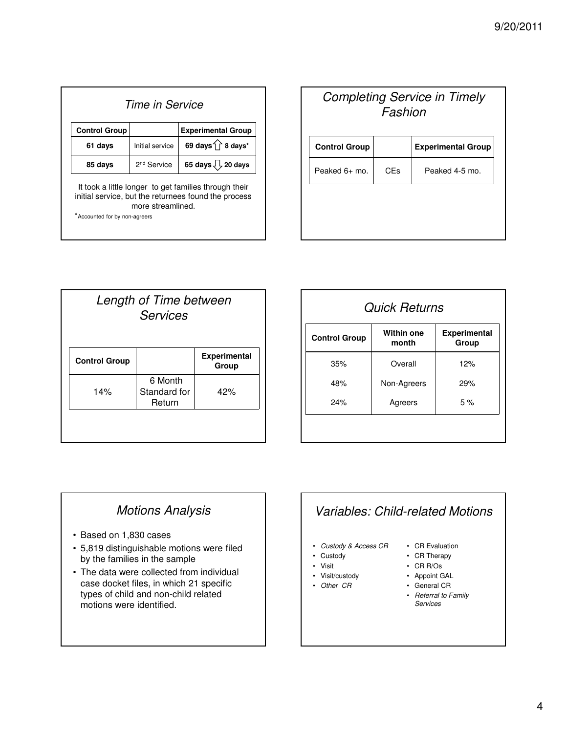| Time in Service               |                         |                                                                                                               |
|-------------------------------|-------------------------|---------------------------------------------------------------------------------------------------------------|
| <b>Control Group</b>          |                         | <b>Experimental Group</b>                                                                                     |
| 61 days                       | Initial service         | 69 days 1 8 days*                                                                                             |
| 85 days                       | 2 <sup>nd</sup> Service | 65 days $\sqrt{2}$ 20 days                                                                                    |
| *Accounted for by non-agreers | more streamlined.       | It took a little longer to get families through their<br>initial service, but the returnees found the process |

| <b>Completing Service in Timely</b><br>Fashion |     |                           |
|------------------------------------------------|-----|---------------------------|
| <b>Control Group</b>                           |     | <b>Experimental Group</b> |
| Peaked 6+ mo.                                  | CEs | Peaked 4-5 mo.            |
|                                                |     |                           |
|                                                |     |                           |

| Length of Time between<br><b>Services</b> |                              |  |
|-------------------------------------------|------------------------------|--|
|                                           | <b>Experimental</b><br>Group |  |
| 6 Month<br>Standard for<br>Return         | 42%                          |  |
|                                           |                              |  |

| <b>Quick Returns</b> |                            |                       |
|----------------------|----------------------------|-----------------------|
| <b>Control Group</b> | <b>Within one</b><br>month | Experimental<br>Group |
| 35%                  | Overall                    | 12%                   |
| 48%                  | Non-Agreers                | 29%                   |
| 24%                  | Agreers                    | 5%                    |

# Motions Analysis

- Based on 1,830 cases
- 5,819 distinguishable motions were filed by the families in the sample
- The data were collected from individual case docket files, in which 21 specific types of child and non-child related motions were identified.

# Variables: Child-related Motions

- Custody & Access CR
- Custody
- Visit
- Visit/custody
- Other CR
- CR Evaluation
- CR Therapy
- CR R/Os
- Appoint GAL
- General CR
- Referral to Family Services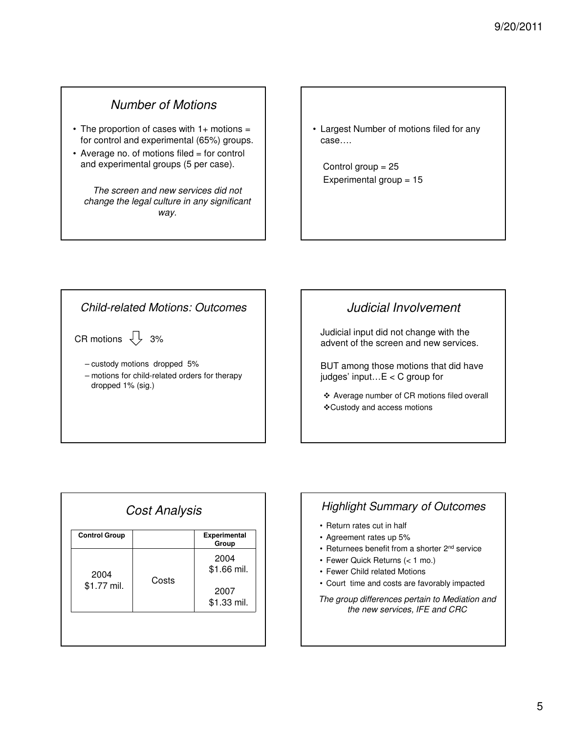# Number of Motions

- The proportion of cases with  $1+$  motions = for control and experimental (65%) groups.
- Average no. of motions filed = for control and experimental groups (5 per case).

The screen and new services did not change the legal culture in any significant way.

• Largest Number of motions filed for any case….

Control group = 25 Experimental group = 15

### Child-related Motions: Outcomes

CR motions  $\frac{1}{2}$  3%

– custody motions dropped 5% – motions for child-related orders for therapy dropped 1% (sig.)

## Judicial Involvement

Judicial input did not change with the advent of the screen and new services.

BUT among those motions that did have judges' input…E < C group for

- Average number of CR motions filed overall
- Custody and access motions

| <b>Control Group</b> |       | <b>Experimental</b><br>Group |
|----------------------|-------|------------------------------|
| 2004<br>\$1.77 mil.  |       | 2004                         |
|                      | Costs | \$1.66 mil.                  |
|                      |       | 2007                         |
|                      |       | \$1.33 mil.                  |

## Highlight Summary of Outcomes

- Return rates cut in half
- Agreement rates up 5%
- Returnees benefit from a shorter 2<sup>nd</sup> service
- Fewer Quick Returns (< 1 mo.)
- Fewer Child related Motions
- Court time and costs are favorably impacted

The group differences pertain to Mediation and the new services, IFE and CRC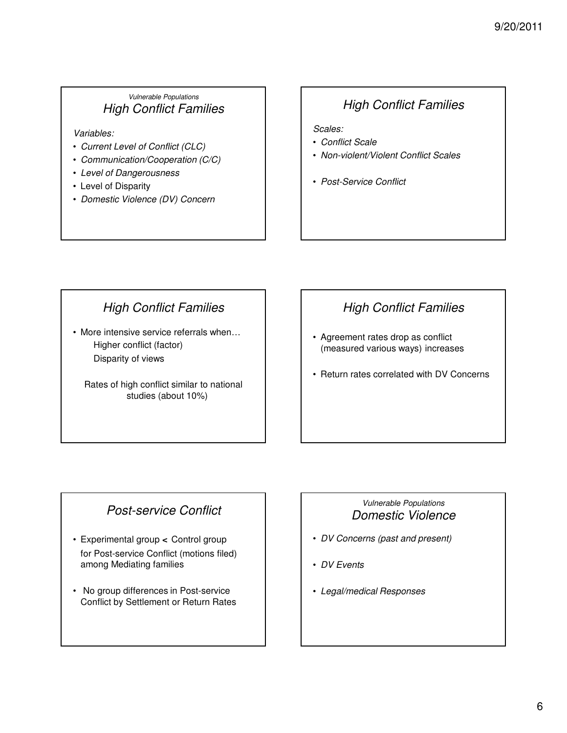### Vulnerable Populations High Conflict Families

Variables:

- Current Level of Conflict (CLC)
- Communication/Cooperation (C/C)
- Level of Dangerousness
- Level of Disparity
- Domestic Violence (DV) Concern

# High Conflict Families

Scales:

- Conflict Scale
- Non-violent/Violent Conflict Scales
- Post-Service Conflict

# High Conflict Families

• More intensive service referrals when… Higher conflict (factor) Disparity of views

Rates of high conflict similar to national studies (about 10%)

# High Conflict Families

- Agreement rates drop as conflict (measured various ways) increases
- Return rates correlated with DV Concerns

# Post-service Conflict

- Experimental group **<** Control group for Post-service Conflict (motions filed) among Mediating families
- No group differences in Post-service Conflict by Settlement or Return Rates

### Vulnerable Populations Domestic Violence

- DV Concerns (past and present)
- DV Events
- Legal/medical Responses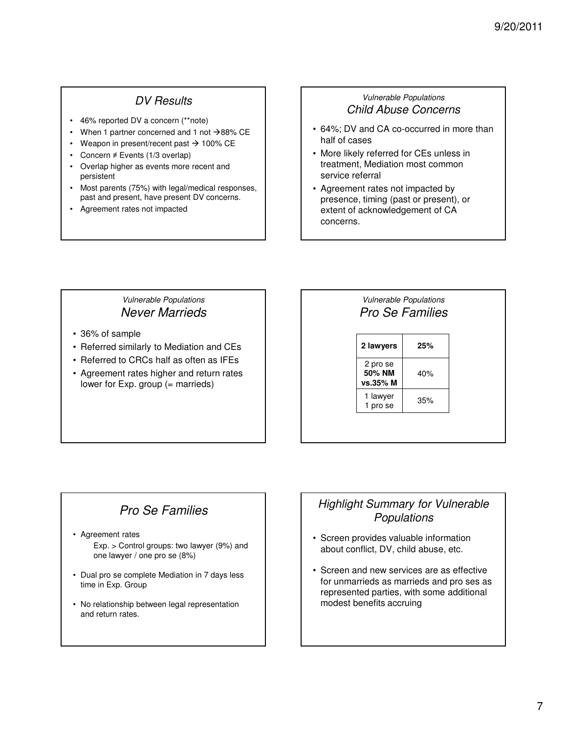### DV Results

- 46% reported DV a concern (\*\*note)
- When 1 partner concerned and 1 not  $\rightarrow$  88% CE
- Weapon in present/recent past  $\rightarrow$  100% CE
- Concern ≠ Events (1/3 overlap)
- Overlap higher as events more recent and persistent
- Most parents (75%) with legal/medical responses, past and present, have present DV concerns.
- Agreement rates not impacted

### Vulnerable Populations Child Abuse Concerns

- 64%; DV and CA co-occurred in more than half of cases
- More likely referred for CEs unless in treatment, Mediation most common service referral
- Agreement rates not impacted by presence, timing (past or present), or extent of acknowledgement of CA concerns.

### Vulnerable Populations Never Marrieds

- 36% of sample
- Referred similarly to Mediation and CEs
- Referred to CRCs half as often as IFEs
- Agreement rates higher and return rates lower for Exp. group (= marrieds)

### Vulnerable Populations Pro Se Families

**2 lawyers 25%** 2 pro se **50% NM vs.35% M** 40% 1 lawyer  $\frac{1 \text{ i} \text{ a} \text{w} \text{y}}{1 \text{ pro se}}$  35%

# Pro Se Families

- Agreement rates
	- Exp. > Control groups: two lawyer (9%) and one lawyer / one pro se (8%)
- Dual pro se complete Mediation in 7 days less time in Exp. Group
- No relationship between legal representation and return rates.

### Highlight Summary for Vulnerable Populations

- Screen provides valuable information about conflict, DV, child abuse, etc.
- Screen and new services are as effective for unmarrieds as marrieds and pro ses as represented parties, with some additional modest benefits accruing